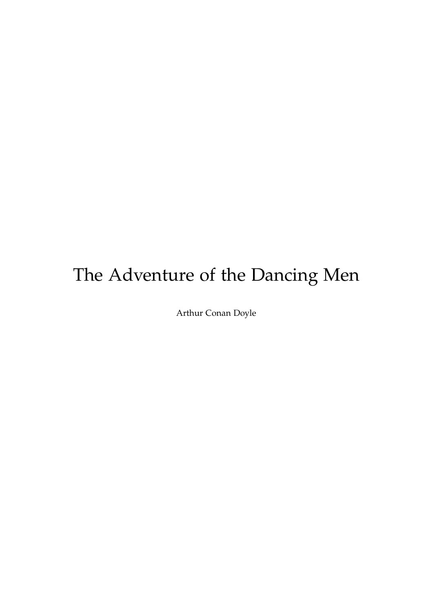# The Adventure of the Dancing Men

Arthur Conan Doyle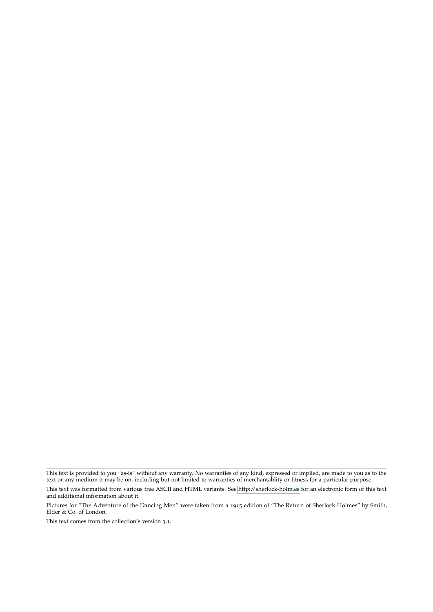This text is provided to you "as-is" without any warranty. No warranties of any kind, expressed or implied, are made to you as to the text or any medium it may be on, including but not limited to warranties of merchantablity or fitness for a particular purpose.

This text was formatted from various free ASCII and HTML variants. See<http://sherlock-holm.es> for an electronic form of this text and additional information about it.

Pictures for "The Adventure of the Dancing Men" were taken from a 1915 edition of "The Return of Sherlock Holmes" by Smith, Elder & Co. of London.

This text comes from the collection's version 3.1.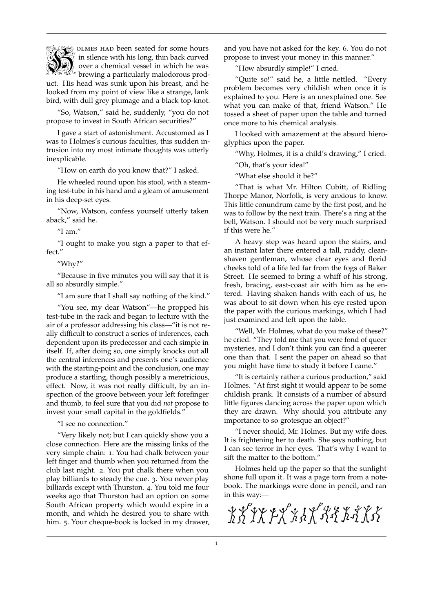

brewing a particularly malodorous prod- $\bigotimes_{i=1}^{\infty}$  olmes had been seated for some hours  $\frac{1}{2}$  in silence with his long, thin back curved  $\mathbb{Z}$  over a chemical vessel in which he was

uct. His head was sunk upon his breast, and he looked from my point of view like a strange, lank bird, with dull grey plumage and a black top-knot.

"So, Watson," said he, suddenly, "you do not propose to invest in South African securities?"

I gave a start of astonishment. Accustomed as I was to Holmes's curious faculties, this sudden intrusion into my most intimate thoughts was utterly inexplicable.

"How on earth do you know that?" I asked.

He wheeled round upon his stool, with a steaming test-tube in his hand and a gleam of amusement in his deep-set eyes.

"Now, Watson, confess yourself utterly taken aback," said he.

"I am."

"I ought to make you sign a paper to that effect."

"Why?"

"Because in five minutes you will say that it is all so absurdly simple."

"I am sure that I shall say nothing of the kind."

"You see, my dear Watson"—he propped his test-tube in the rack and began to lecture with the air of a professor addressing his class—"it is not really difficult to construct a series of inferences, each dependent upon its predecessor and each simple in itself. If, after doing so, one simply knocks out all the central inferences and presents one's audience with the starting-point and the conclusion, one may produce a startling, though possibly a meretricious, effect. Now, it was not really difficult, by an inspection of the groove between your left forefinger and thumb, to feel sure that you did *not* propose to invest your small capital in the goldfields."

"I see no connection."

"Very likely not; but I can quickly show you a close connection. Here are the missing links of the very simple chain: 1. You had chalk between your left finger and thumb when you returned from the club last night. 2. You put chalk there when you play billiards to steady the cue. 3. You never play billiards except with Thurston. 4. You told me four weeks ago that Thurston had an option on some South African property which would expire in a month, and which he desired you to share with him. 5. Your cheque-book is locked in my drawer, and you have not asked for the key. 6. You do not propose to invest your money in this manner."

"How absurdly simple!" I cried.

"Quite so!" said he, a little nettled. "Every problem becomes very childish when once it is explained to you. Here is an unexplained one. See what you can make of that, friend Watson." He tossed a sheet of paper upon the table and turned once more to his chemical analysis.

I looked with amazement at the absurd hieroglyphics upon the paper.

"Why, Holmes, it is a child's drawing," I cried.

"Oh, that's your idea!"

"What else should it be?"

"That is what Mr. Hilton Cubitt, of Ridling Thorpe Manor, Norfolk, is very anxious to know. This little conundrum came by the first post, and he was to follow by the next train. There's a ring at the bell, Watson. I should not be very much surprised if this were he."

A heavy step was heard upon the stairs, and an instant later there entered a tall, ruddy, cleanshaven gentleman, whose clear eyes and florid cheeks told of a life led far from the fogs of Baker Street. He seemed to bring a whiff of his strong, fresh, bracing, east-coast air with him as he entered. Having shaken hands with each of us, he was about to sit down when his eye rested upon the paper with the curious markings, which I had just examined and left upon the table.

"Well, Mr. Holmes, what do you make of these?" he cried. "They told me that you were fond of queer mysteries, and I don't think you can find a queerer one than that. I sent the paper on ahead so that you might have time to study it before I came."

"It is certainly rather a curious production," said Holmes. "At first sight it would appear to be some childish prank. It consists of a number of absurd little figures dancing across the paper upon which they are drawn. Why should you attribute any importance to so grotesque an object?"

"I never should, Mr. Holmes. But my wife does. It is frightening her to death. She says nothing, but I can see terror in her eyes. That's why I want to sift the matter to the bottom."

Holmes held up the paper so that the sunlight shone full upon it. It was a page torn from a notebook. The markings were done in pencil, and ran in this way:—

\*\*\*\*\*\*\*\*\*\*\*\*\*\*\*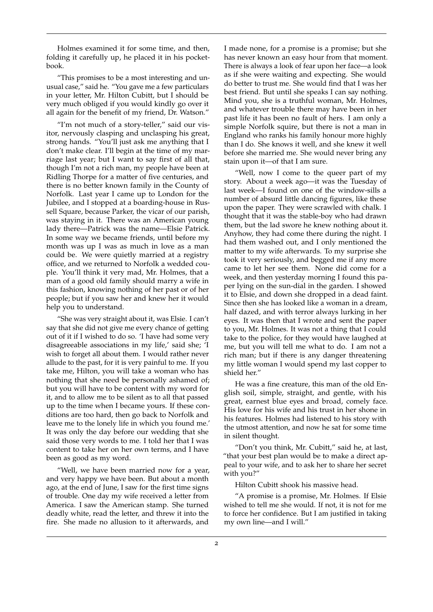Holmes examined it for some time, and then, folding it carefully up, he placed it in his pocketbook.

"This promises to be a most interesting and unusual case," said he. "You gave me a few particulars in your letter, Mr. Hilton Cubitt, but I should be very much obliged if you would kindly go over it all again for the benefit of my friend, Dr. Watson."

"I'm not much of a story-teller," said our visitor, nervously clasping and unclasping his great, strong hands. "You'll just ask me anything that I don't make clear. I'll begin at the time of my marriage last year; but I want to say first of all that, though I'm not a rich man, my people have been at Ridling Thorpe for a matter of five centuries, and there is no better known family in the County of Norfolk. Last year I came up to London for the Jubilee, and I stopped at a boarding-house in Russell Square, because Parker, the vicar of our parish, was staying in it. There was an American young lady there—Patrick was the name—Elsie Patrick. In some way we became friends, until before my month was up I was as much in love as a man could be. We were quietly married at a registry office, and we returned to Norfolk a wedded couple. You'll think it very mad, Mr. Holmes, that a man of a good old family should marry a wife in this fashion, knowing nothing of her past or of her people; but if you saw her and knew her it would help you to understand.

"She was very straight about it, was Elsie. I can't say that she did not give me every chance of getting out of it if I wished to do so. 'I have had some very disagreeable associations in my life,' said she; 'I wish to forget all about them. I would rather never allude to the past, for it is very painful to me. If you take me, Hilton, you will take a woman who has nothing that she need be personally ashamed of; but you will have to be content with my word for it, and to allow me to be silent as to all that passed up to the time when I became yours. If these conditions are too hard, then go back to Norfolk and leave me to the lonely life in which you found me.' It was only the day before our wedding that she said those very words to me. I told her that I was content to take her on her own terms, and I have been as good as my word.

"Well, we have been married now for a year, and very happy we have been. But about a month ago, at the end of June, I saw for the first time signs of trouble. One day my wife received a letter from America. I saw the American stamp. She turned deadly white, read the letter, and threw it into the fire. She made no allusion to it afterwards, and

I made none, for a promise is a promise; but she has never known an easy hour from that moment. There is always a look of fear upon her face—a look as if she were waiting and expecting. She would do better to trust me. She would find that I was her best friend. But until she speaks I can say nothing. Mind you, she is a truthful woman, Mr. Holmes, and whatever trouble there may have been in her past life it has been no fault of hers. I am only a simple Norfolk squire, but there is not a man in England who ranks his family honour more highly than I do. She knows it well, and she knew it well before she married me. She would never bring any stain upon it—of that I am sure.

"Well, now I come to the queer part of my story. About a week ago—it was the Tuesday of last week—I found on one of the window-sills a number of absurd little dancing figures, like these upon the paper. They were scrawled with chalk. I thought that it was the stable-boy who had drawn them, but the lad swore he knew nothing about it. Anyhow, they had come there during the night. I had them washed out, and I only mentioned the matter to my wife afterwards. To my surprise she took it very seriously, and begged me if any more came to let her see them. None did come for a week, and then yesterday morning I found this paper lying on the sun-dial in the garden. I showed it to Elsie, and down she dropped in a dead faint. Since then she has looked like a woman in a dream, half dazed, and with terror always lurking in her eyes. It was then that I wrote and sent the paper to you, Mr. Holmes. It was not a thing that I could take to the police, for they would have laughed at me, but you will tell me what to do. I am not a rich man; but if there is any danger threatening my little woman I would spend my last copper to shield her."

He was a fine creature, this man of the old English soil, simple, straight, and gentle, with his great, earnest blue eyes and broad, comely face. His love for his wife and his trust in her shone in his features. Holmes had listened to his story with the utmost attention, and now he sat for some time in silent thought.

"Don't you think, Mr. Cubitt," said he, at last, "that your best plan would be to make a direct appeal to your wife, and to ask her to share her secret with you?"

Hilton Cubitt shook his massive head.

"A promise is a promise, Mr. Holmes. If Elsie wished to tell me she would. If not, it is not for me to force her confidence. But I am justified in taking my own line—and I will."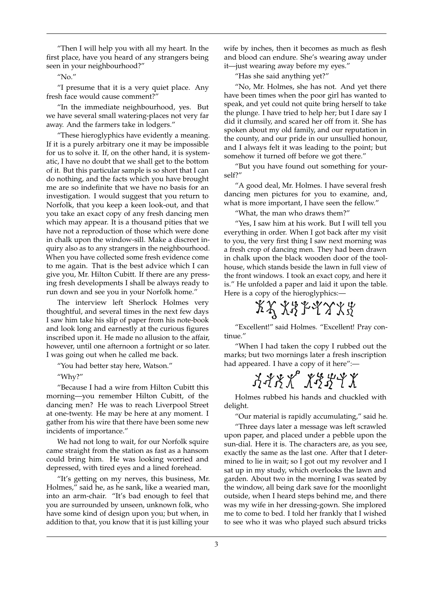"Then I will help you with all my heart. In the first place, have you heard of any strangers being seen in your neighbourhood?"

 $''$ No."

"I presume that it is a very quiet place. Any fresh face would cause comment?"

"In the immediate neighbourhood, yes. But we have several small watering-places not very far away. And the farmers take in lodgers."

"These hieroglyphics have evidently a meaning. If it is a purely arbitrary one it may be impossible for us to solve it. If, on the other hand, it is systematic, I have no doubt that we shall get to the bottom of it. But this particular sample is so short that I can do nothing, and the facts which you have brought me are so indefinite that we have no basis for an investigation. I would suggest that you return to Norfolk, that you keep a keen look-out, and that you take an exact copy of any fresh dancing men which may appear. It is a thousand pities that we have not a reproduction of those which were done in chalk upon the window-sill. Make a discreet inquiry also as to any strangers in the neighbourhood. When you have collected some fresh evidence come to me again. That is the best advice which I can give you, Mr. Hilton Cubitt. If there are any pressing fresh developments I shall be always ready to run down and see you in your Norfolk home."

The interview left Sherlock Holmes very thoughtful, and several times in the next few days I saw him take his slip of paper from his note-book and look long and earnestly at the curious figures inscribed upon it. He made no allusion to the affair, however, until one afternoon a fortnight or so later. I was going out when he called me back.

"You had better stay here, Watson."

"Why?"

"Because I had a wire from Hilton Cubitt this morning—you remember Hilton Cubitt, of the dancing men? He was to reach Liverpool Street at one-twenty. He may be here at any moment. I gather from his wire that there have been some new incidents of importance."

We had not long to wait, for our Norfolk squire came straight from the station as fast as a hansom could bring him. He was looking worried and depressed, with tired eyes and a lined forehead.

"It's getting on my nerves, this business, Mr. Holmes," said he, as he sank, like a wearied man, into an arm-chair. "It's bad enough to feel that you are surrounded by unseen, unknown folk, who have some kind of design upon you; but when, in addition to that, you know that it is just killing your

wife by inches, then it becomes as much as flesh and blood can endure. She's wearing away under it—just wearing away before my eyes."

"Has she said anything yet?"

"No, Mr. Holmes, she has not. And yet there have been times when the poor girl has wanted to speak, and yet could not quite bring herself to take the plunge. I have tried to help her; but I dare say I did it clumsily, and scared her off from it. She has spoken about my old family, and our reputation in the county, and our pride in our unsullied honour, and I always felt it was leading to the point; but somehow it turned off before we got there."

"But you have found out something for yourself?"

"A good deal, Mr. Holmes. I have several fresh dancing men pictures for you to examine, and, what is more important, I have seen the fellow."

"What, the man who draws them?"

"Yes, I saw him at his work. But I will tell you everything in order. When I got back after my visit to you, the very first thing I saw next morning was a fresh crop of dancing men. They had been drawn in chalk upon the black wooden door of the toolhouse, which stands beside the lawn in full view of the front windows. I took an exact copy, and here it is." He unfolded a paper and laid it upon the table. Here is a copy of the hieroglyphics:-

 $XX X Y Y Y Y X Z$ 

"Excellent!" said Holmes. "Excellent! Pray continue."

"When I had taken the copy I rubbed out the marks; but two mornings later a fresh inscription had appeared. I have a copy of it here":—

 $3388$   $13374$ 

Holmes rubbed his hands and chuckled with delight.

"Our material is rapidly accumulating," said he.

"Three days later a message was left scrawled upon paper, and placed under a pebble upon the sun-dial. Here it is. The characters are, as you see, exactly the same as the last one. After that I determined to lie in wait; so I got out my revolver and I sat up in my study, which overlooks the lawn and garden. About two in the morning I was seated by the window, all being dark save for the moonlight outside, when I heard steps behind me, and there was my wife in her dressing-gown. She implored me to come to bed. I told her frankly that I wished to see who it was who played such absurd tricks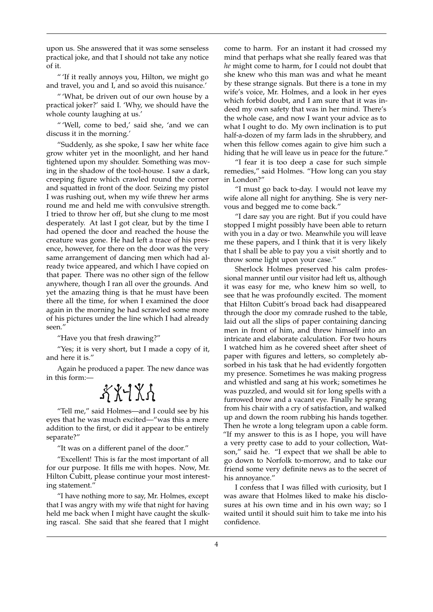upon us. She answered that it was some senseless practical joke, and that I should not take any notice of it.

" 'If it really annoys you, Hilton, we might go and travel, you and I, and so avoid this nuisance.'

" 'What, be driven out of our own house by a practical joker?' said I. 'Why, we should have the whole county laughing at us.'

" 'Well, come to bed,' said she, 'and we can discuss it in the morning.'

"Suddenly, as she spoke, I saw her white face grow whiter yet in the moonlight, and her hand tightened upon my shoulder. Something was moving in the shadow of the tool-house. I saw a dark, creeping figure which crawled round the corner and squatted in front of the door. Seizing my pistol I was rushing out, when my wife threw her arms round me and held me with convulsive strength. I tried to throw her off, but she clung to me most desperately. At last I got clear, but by the time I had opened the door and reached the house the creature was gone. He had left a trace of his presence, however, for there on the door was the very same arrangement of dancing men which had already twice appeared, and which I have copied on that paper. There was no other sign of the fellow anywhere, though I ran all over the grounds. And yet the amazing thing is that he must have been there all the time, for when I examined the door again in the morning he had scrawled some more of his pictures under the line which I had already seen."

"Have you that fresh drawing?"

"Yes; it is very short, but I made a copy of it, and here it is."

Again he produced a paper. The new dance was in this form:—

## $XX+X$

"Tell me," said Holmes—and I could see by his eyes that he was much excited—"was this a mere addition to the first, or did it appear to be entirely separate?"

"It was on a different panel of the door."

"Excellent! This is far the most important of all for our purpose. It fills me with hopes. Now, Mr. Hilton Cubitt, please continue your most interesting statement."

"I have nothing more to say, Mr. Holmes, except that I was angry with my wife that night for having held me back when I might have caught the skulking rascal. She said that she feared that I might come to harm. For an instant it had crossed my mind that perhaps what she really feared was that *he* might come to harm, for I could not doubt that she knew who this man was and what he meant by these strange signals. But there is a tone in my wife's voice, Mr. Holmes, and a look in her eyes which forbid doubt, and I am sure that it was indeed my own safety that was in her mind. There's the whole case, and now I want your advice as to what I ought to do. My own inclination is to put half-a-dozen of my farm lads in the shrubbery, and when this fellow comes again to give him such a hiding that he will leave us in peace for the future."

"I fear it is too deep a case for such simple remedies," said Holmes. "How long can you stay in London?"

"I must go back to-day. I would not leave my wife alone all night for anything. She is very nervous and begged me to come back."

"I dare say you are right. But if you could have stopped I might possibly have been able to return with you in a day or two. Meanwhile you will leave me these papers, and I think that it is very likely that I shall be able to pay you a visit shortly and to throw some light upon your case."

Sherlock Holmes preserved his calm professional manner until our visitor had left us, although it was easy for me, who knew him so well, to see that he was profoundly excited. The moment that Hilton Cubitt's broad back had disappeared through the door my comrade rushed to the table, laid out all the slips of paper containing dancing men in front of him, and threw himself into an intricate and elaborate calculation. For two hours I watched him as he covered sheet after sheet of paper with figures and letters, so completely absorbed in his task that he had evidently forgotten my presence. Sometimes he was making progress and whistled and sang at his work; sometimes he was puzzled, and would sit for long spells with a furrowed brow and a vacant eye. Finally he sprang from his chair with a cry of satisfaction, and walked up and down the room rubbing his hands together. Then he wrote a long telegram upon a cable form. "If my answer to this is as I hope, you will have a very pretty case to add to your collection, Watson," said he. "I expect that we shall be able to go down to Norfolk to-morrow, and to take our friend some very definite news as to the secret of his annoyance."

I confess that I was filled with curiosity, but I was aware that Holmes liked to make his disclosures at his own time and in his own way; so I waited until it should suit him to take me into his confidence.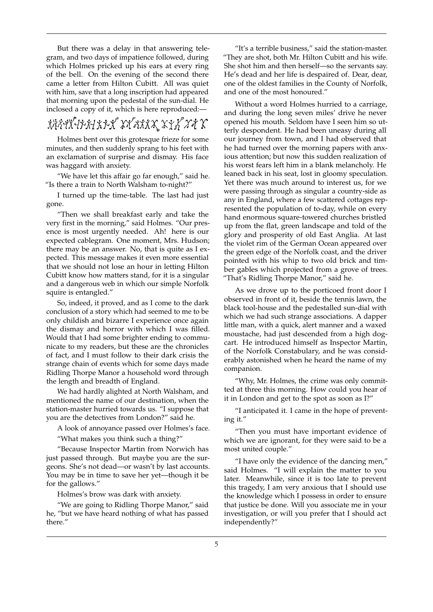But there was a delay in that answering telegram, and two days of impatience followed, during which Holmes pricked up his ears at every ring of the bell. On the evening of the second there came a letter from Hilton Cubitt. All was quiet with him, save that a long inscription had appeared that morning upon the pedestal of the sun-dial. He inclosed a copy of it, which is here reproduced:—

### きゅうせききょうきゅう しゅうきょう エキュピコチ

Holmes bent over this grotesque frieze for some minutes, and then suddenly sprang to his feet with an exclamation of surprise and dismay. His face was haggard with anxiety.

"We have let this affair go far enough," said he. "Is there a train to North Walsham to-night?"

I turned up the time-table. The last had just gone.

"Then we shall breakfast early and take the very first in the morning," said Holmes. "Our presence is most urgently needed. Ah! here is our expected cablegram. One moment, Mrs. Hudson; there may be an answer. No, that is quite as I expected. This message makes it even more essential that we should not lose an hour in letting Hilton Cubitt know how matters stand, for it is a singular and a dangerous web in which our simple Norfolk squire is entangled."

So, indeed, it proved, and as I come to the dark conclusion of a story which had seemed to me to be only childish and bizarre I experience once again the dismay and horror with which I was filled. Would that I had some brighter ending to communicate to my readers, but these are the chronicles of fact, and I must follow to their dark crisis the strange chain of events which for some days made Ridling Thorpe Manor a household word through the length and breadth of England.

We had hardly alighted at North Walsham, and mentioned the name of our destination, when the station-master hurried towards us. "I suppose that you are the detectives from London?" said he.

A look of annoyance passed over Holmes's face.

"What makes you think such a thing?"

"Because Inspector Martin from Norwich has just passed through. But maybe you are the surgeons. She's not dead—or wasn't by last accounts. You may be in time to save her yet—though it be for the gallows."

Holmes's brow was dark with anxiety.

"We are going to Ridling Thorpe Manor," said he, "but we have heard nothing of what has passed there."

"It's a terrible business," said the station-master. "They are shot, both Mr. Hilton Cubitt and his wife. She shot him and then herself—so the servants say. He's dead and her life is despaired of. Dear, dear, one of the oldest families in the County of Norfolk, and one of the most honoured."

Without a word Holmes hurried to a carriage, and during the long seven miles' drive he never opened his mouth. Seldom have I seen him so utterly despondent. He had been uneasy during all our journey from town, and I had observed that he had turned over the morning papers with anxious attention; but now this sudden realization of his worst fears left him in a blank melancholy. He leaned back in his seat, lost in gloomy speculation. Yet there was much around to interest us, for we were passing through as singular a country-side as any in England, where a few scattered cottages represented the population of to-day, while on every hand enormous square-towered churches bristled up from the flat, green landscape and told of the glory and prosperity of old East Anglia. At last the violet rim of the German Ocean appeared over the green edge of the Norfolk coast, and the driver pointed with his whip to two old brick and timber gables which projected from a grove of trees. "That's Ridling Thorpe Manor," said he.

As we drove up to the porticoed front door I observed in front of it, beside the tennis lawn, the black tool-house and the pedestalled sun-dial with which we had such strange associations. A dapper little man, with a quick, alert manner and a waxed moustache, had just descended from a high dogcart. He introduced himself as Inspector Martin, of the Norfolk Constabulary, and he was considerably astonished when he heard the name of my companion.

"Why, Mr. Holmes, the crime was only committed at three this morning. How could you hear of it in London and get to the spot as soon as I?"

"I anticipated it. I came in the hope of preventing it."

"Then you must have important evidence of which we are ignorant, for they were said to be a most united couple."

"I have only the evidence of the dancing men," said Holmes. "I will explain the matter to you later. Meanwhile, since it is too late to prevent this tragedy, I am very anxious that I should use the knowledge which I possess in order to ensure that justice be done. Will you associate me in your investigation, or will you prefer that I should act independently?"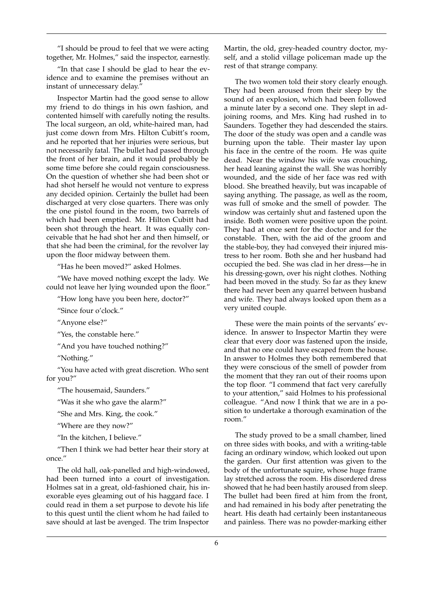"I should be proud to feel that we were acting together, Mr. Holmes," said the inspector, earnestly.

"In that case I should be glad to hear the evidence and to examine the premises without an instant of unnecessary delay."

Inspector Martin had the good sense to allow my friend to do things in his own fashion, and contented himself with carefully noting the results. The local surgeon, an old, white-haired man, had just come down from Mrs. Hilton Cubitt's room, and he reported that her injuries were serious, but not necessarily fatal. The bullet had passed through the front of her brain, and it would probably be some time before she could regain consciousness. On the question of whether she had been shot or had shot herself he would not venture to express any decided opinion. Certainly the bullet had been discharged at very close quarters. There was only the one pistol found in the room, two barrels of which had been emptied. Mr. Hilton Cubitt had been shot through the heart. It was equally conceivable that he had shot her and then himself, or that she had been the criminal, for the revolver lay upon the floor midway between them.

"Has he been moved?" asked Holmes.

"We have moved nothing except the lady. We could not leave her lying wounded upon the floor."

"How long have you been here, doctor?"

"Since four o'clock."

"Anyone else?"

"Yes, the constable here."

"And you have touched nothing?"

"Nothing."

"You have acted with great discretion. Who sent for you?"

"The housemaid, Saunders."

"Was it she who gave the alarm?"

"She and Mrs. King, the cook."

"Where are they now?"

"In the kitchen, I believe."

"Then I think we had better hear their story at once."

The old hall, oak-panelled and high-windowed, had been turned into a court of investigation. Holmes sat in a great, old-fashioned chair, his inexorable eyes gleaming out of his haggard face. I could read in them a set purpose to devote his life to this quest until the client whom he had failed to save should at last be avenged. The trim Inspector

Martin, the old, grey-headed country doctor, myself, and a stolid village policeman made up the rest of that strange company.

The two women told their story clearly enough. They had been aroused from their sleep by the sound of an explosion, which had been followed a minute later by a second one. They slept in adjoining rooms, and Mrs. King had rushed in to Saunders. Together they had descended the stairs. The door of the study was open and a candle was burning upon the table. Their master lay upon his face in the centre of the room. He was quite dead. Near the window his wife was crouching, her head leaning against the wall. She was horribly wounded, and the side of her face was red with blood. She breathed heavily, but was incapable of saying anything. The passage, as well as the room, was full of smoke and the smell of powder. The window was certainly shut and fastened upon the inside. Both women were positive upon the point. They had at once sent for the doctor and for the constable. Then, with the aid of the groom and the stable-boy, they had conveyed their injured mistress to her room. Both she and her husband had occupied the bed. She was clad in her dress—he in his dressing-gown, over his night clothes. Nothing had been moved in the study. So far as they knew there had never been any quarrel between husband and wife. They had always looked upon them as a very united couple.

These were the main points of the servants' evidence. In answer to Inspector Martin they were clear that every door was fastened upon the inside, and that no one could have escaped from the house. In answer to Holmes they both remembered that they were conscious of the smell of powder from the moment that they ran out of their rooms upon the top floor. "I commend that fact very carefully to your attention," said Holmes to his professional colleague. "And now I think that we are in a position to undertake a thorough examination of the room."

The study proved to be a small chamber, lined on three sides with books, and with a writing-table facing an ordinary window, which looked out upon the garden. Our first attention was given to the body of the unfortunate squire, whose huge frame lay stretched across the room. His disordered dress showed that he had been hastily aroused from sleep. The bullet had been fired at him from the front, and had remained in his body after penetrating the heart. His death had certainly been instantaneous and painless. There was no powder-marking either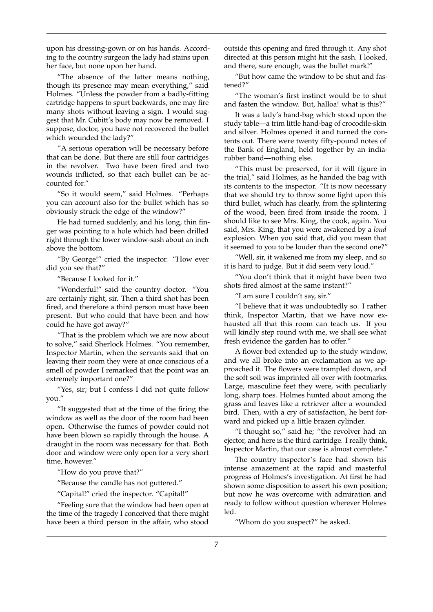upon his dressing-gown or on his hands. According to the country surgeon the lady had stains upon her face, but none upon her hand.

"The absence of the latter means nothing, though its presence may mean everything," said Holmes. "Unless the powder from a badly-fitting cartridge happens to spurt backwards, one may fire many shots without leaving a sign. I would suggest that Mr. Cubitt's body may now be removed. I suppose, doctor, you have not recovered the bullet which wounded the lady?"

"A serious operation will be necessary before that can be done. But there are still four cartridges in the revolver. Two have been fired and two wounds inflicted, so that each bullet can be accounted for."

"So it would seem," said Holmes. "Perhaps you can account also for the bullet which has so obviously struck the edge of the window?"

He had turned suddenly, and his long, thin finger was pointing to a hole which had been drilled right through the lower window-sash about an inch above the bottom.

"By George!" cried the inspector. "How ever did you see that?"

"Because I looked for it."

"Wonderful!" said the country doctor. "You are certainly right, sir. Then a third shot has been fired, and therefore a third person must have been present. But who could that have been and how could he have got away?"

"That is the problem which we are now about to solve," said Sherlock Holmes. "You remember, Inspector Martin, when the servants said that on leaving their room they were at once conscious of a smell of powder I remarked that the point was an extremely important one?"

"Yes, sir; but I confess I did not quite follow you."

"It suggested that at the time of the firing the window as well as the door of the room had been open. Otherwise the fumes of powder could not have been blown so rapidly through the house. A draught in the room was necessary for that. Both door and window were only open for a very short time, however."

"How do you prove that?"

"Because the candle has not guttered."

"Capital!" cried the inspector. "Capital!"

"Feeling sure that the window had been open at the time of the tragedy I conceived that there might have been a third person in the affair, who stood outside this opening and fired through it. Any shot directed at this person might hit the sash. I looked, and there, sure enough, was the bullet mark!"

"But how came the window to be shut and fastened?"

"The woman's first instinct would be to shut and fasten the window. But, halloa! what is this?"

It was a lady's hand-bag which stood upon the study table—a trim little hand-bag of crocodile-skin and silver. Holmes opened it and turned the contents out. There were twenty fifty-pound notes of the Bank of England, held together by an indiarubber band—nothing else.

"This must be preserved, for it will figure in the trial," said Holmes, as he handed the bag with its contents to the inspector. "It is now necessary that we should try to throw some light upon this third bullet, which has clearly, from the splintering of the wood, been fired from inside the room. I should like to see Mrs. King, the cook, again. You said, Mrs. King, that you were awakened by a *loud* explosion. When you said that, did you mean that it seemed to you to be louder than the second one?"

"Well, sir, it wakened me from my sleep, and so it is hard to judge. But it did seem very loud."

"You don't think that it might have been two shots fired almost at the same instant?"

"I am sure I couldn't say, sir."

"I believe that it was undoubtedly so. I rather think, Inspector Martin, that we have now exhausted all that this room can teach us. If you will kindly step round with me, we shall see what fresh evidence the garden has to offer."

A flower-bed extended up to the study window, and we all broke into an exclamation as we approached it. The flowers were trampled down, and the soft soil was imprinted all over with footmarks. Large, masculine feet they were, with peculiarly long, sharp toes. Holmes hunted about among the grass and leaves like a retriever after a wounded bird. Then, with a cry of satisfaction, he bent forward and picked up a little brazen cylinder.

"I thought so," said he; "the revolver had an ejector, and here is the third cartridge. I really think, Inspector Martin, that our case is almost complete."

The country inspector's face had shown his intense amazement at the rapid and masterful progress of Holmes's investigation. At first he had shown some disposition to assert his own position; but now he was overcome with admiration and ready to follow without question wherever Holmes led.

"Whom do you suspect?" he asked.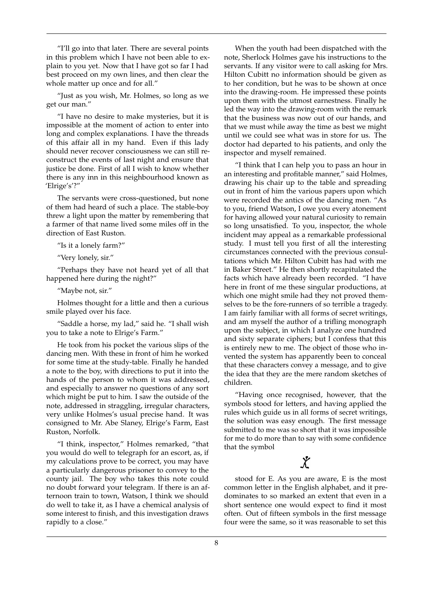"I'll go into that later. There are several points in this problem which I have not been able to explain to you yet. Now that I have got so far I had best proceed on my own lines, and then clear the whole matter up once and for all."

"Just as you wish, Mr. Holmes, so long as we get our man."

"I have no desire to make mysteries, but it is impossible at the moment of action to enter into long and complex explanations. I have the threads of this affair all in my hand. Even if this lady should never recover consciousness we can still reconstruct the events of last night and ensure that justice be done. First of all I wish to know whether there is any inn in this neighbourhood known as 'Elrige's'?"

The servants were cross-questioned, but none of them had heard of such a place. The stable-boy threw a light upon the matter by remembering that a farmer of that name lived some miles off in the direction of East Ruston.

"Is it a lonely farm?"

"Very lonely, sir."

"Perhaps they have not heard yet of all that happened here during the night?"

"Maybe not, sir."

Holmes thought for a little and then a curious smile played over his face.

"Saddle a horse, my lad," said he. "I shall wish you to take a note to Elrige's Farm."

He took from his pocket the various slips of the dancing men. With these in front of him he worked for some time at the study-table. Finally he handed a note to the boy, with directions to put it into the hands of the person to whom it was addressed, and especially to answer no questions of any sort which might be put to him. I saw the outside of the note, addressed in straggling, irregular characters, very unlike Holmes's usual precise hand. It was consigned to Mr. Abe Slaney, Elrige's Farm, East Ruston, Norfolk.

"I think, inspector," Holmes remarked, "that you would do well to telegraph for an escort, as, if my calculations prove to be correct, you may have a particularly dangerous prisoner to convey to the county jail. The boy who takes this note could no doubt forward your telegram. If there is an afternoon train to town, Watson, I think we should do well to take it, as I have a chemical analysis of some interest to finish, and this investigation draws rapidly to a close."

When the youth had been dispatched with the note, Sherlock Holmes gave his instructions to the servants. If any visitor were to call asking for Mrs. Hilton Cubitt no information should be given as to her condition, but he was to be shown at once into the drawing-room. He impressed these points upon them with the utmost earnestness. Finally he led the way into the drawing-room with the remark that the business was now out of our hands, and that we must while away the time as best we might until we could see what was in store for us. The doctor had departed to his patients, and only the inspector and myself remained.

"I think that I can help you to pass an hour in an interesting and profitable manner," said Holmes, drawing his chair up to the table and spreading out in front of him the various papers upon which were recorded the antics of the dancing men. "As to you, friend Watson, I owe you every atonement for having allowed your natural curiosity to remain so long unsatisfied. To you, inspector, the whole incident may appeal as a remarkable professional study. I must tell you first of all the interesting circumstances connected with the previous consultations which Mr. Hilton Cubitt has had with me in Baker Street." He then shortly recapitulated the facts which have already been recorded. "I have here in front of me these singular productions, at which one might smile had they not proved themselves to be the fore-runners of so terrible a tragedy. I am fairly familiar with all forms of secret writings, and am myself the author of a trifling monograph upon the subject, in which I analyze one hundred and sixty separate ciphers; but I confess that this is entirely new to me. The object of those who invented the system has apparently been to conceal that these characters convey a message, and to give the idea that they are the mere random sketches of children.

"Having once recognised, however, that the symbols stood for letters, and having applied the rules which guide us in all forms of secret writings, the solution was easy enough. The first message submitted to me was so short that it was impossible for me to do more than to say with some confidence that the symbol

### $\chi$

stood for E. As you are aware, E is the most common letter in the English alphabet, and it predominates to so marked an extent that even in a short sentence one would expect to find it most often. Out of fifteen symbols in the first message four were the same, so it was reasonable to set this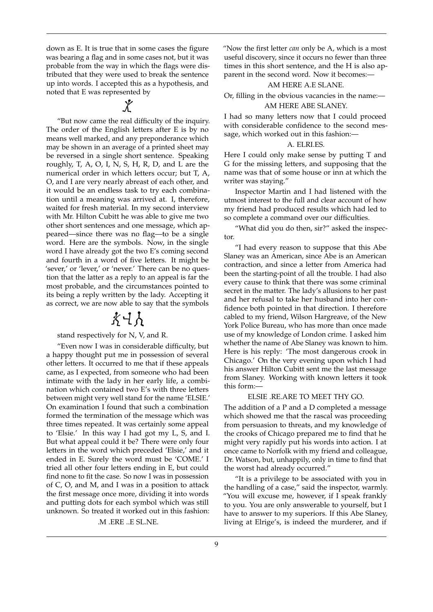down as E. It is true that in some cases the figure was bearing a flag and in some cases not, but it was probable from the way in which the flags were distributed that they were used to break the sentence up into words. I accepted this as a hypothesis, and noted that E was represented by

"But now came the real difficulty of the inquiry. The order of the English letters after E is by no means well marked, and any preponderance which may be shown in an average of a printed sheet may be reversed in a single short sentence. Speaking roughly, T, A, O, I, N, S, H, R, D, and L are the numerical order in which letters occur; but T, A, O, and I are very nearly abreast of each other, and it would be an endless task to try each combination until a meaning was arrived at. I, therefore, waited for fresh material. In my second interview with Mr. Hilton Cubitt he was able to give me two other short sentences and one message, which appeared—since there was no flag—to be a single word. Here are the symbols. Now, in the single word I have already got the two E's coming second and fourth in a word of five letters. It might be 'sever,' or 'lever,' or 'never.' There can be no question that the latter as a reply to an appeal is far the most probable, and the circumstances pointed to its being a reply written by the lady. Accepting it as correct, we are now able to say that the symbols

### 永日九

stand respectively for N, V, and R.

"Even now I was in considerable difficulty, but a happy thought put me in possession of several other letters. It occurred to me that if these appeals came, as I expected, from someone who had been intimate with the lady in her early life, a combination which contained two E's with three letters between might very well stand for the name 'ELSIE.' On examination I found that such a combination formed the termination of the message which was three times repeated. It was certainly some appeal to 'Elsie.' In this way I had got my L, S, and I. But what appeal could it be? There were only four letters in the word which preceded 'Elsie,' and it ended in E. Surely the word must be 'COME.' I tried all other four letters ending in E, but could find none to fit the case. So now I was in possession of C, O, and M, and I was in a position to attack the first message once more, dividing it into words and putting dots for each symbol which was still unknown. So treated it worked out in this fashion:

.M .ERE ..E SL.NE.

"Now the first letter *can* only be A, which is a most useful discovery, since it occurs no fewer than three times in this short sentence, and the H is also apparent in the second word. Now it becomes:—

#### AM HERE A.E SLANE.

Or, filling in the obvious vacancies in the name:—

### AM HERE ABE SLANEY.

I had so many letters now that I could proceed with considerable confidence to the second message, which worked out in this fashion:—

#### A. ELRI.ES.

Here I could only make sense by putting T and G for the missing letters, and supposing that the name was that of some house or inn at which the writer was staying."

Inspector Martin and I had listened with the utmost interest to the full and clear account of how my friend had produced results which had led to so complete a command over our difficulties.

"What did you do then, sir?" asked the inspector.

"I had every reason to suppose that this Abe Slaney was an American, since Abe is an American contraction, and since a letter from America had been the starting-point of all the trouble. I had also every cause to think that there was some criminal secret in the matter. The lady's allusions to her past and her refusal to take her husband into her confidence both pointed in that direction. I therefore cabled to my friend, Wilson Hargreave, of the New York Police Bureau, who has more than once made use of my knowledge of London crime. I asked him whether the name of Abe Slaney was known to him. Here is his reply: 'The most dangerous crook in Chicago.' On the very evening upon which I had his answer Hilton Cubitt sent me the last message from Slaney. Working with known letters it took this form:—

#### ELSIE .RE.ARE TO MEET THY GO.

The addition of a P and a D completed a message which showed me that the rascal was proceeding from persuasion to threats, and my knowledge of the crooks of Chicago prepared me to find that he might very rapidly put his words into action. I at once came to Norfolk with my friend and colleague, Dr. Watson, but, unhappily, only in time to find that the worst had already occurred."

"It is a privilege to be associated with you in the handling of a case," said the inspector, warmly. "You will excuse me, however, if I speak frankly to you. You are only answerable to yourself, but I have to answer to my superiors. If this Abe Slaney, living at Elrige's, is indeed the murderer, and if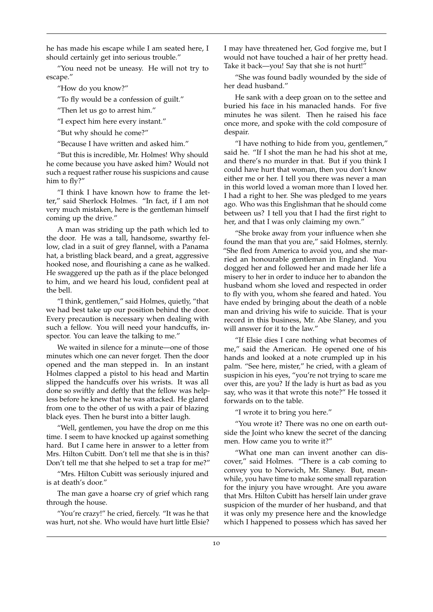he has made his escape while I am seated here, I should certainly get into serious trouble."

"You need not be uneasy. He will not try to escape."

"How do you know?"

"To fly would be a confession of guilt."

"Then let us go to arrest him."

"I expect him here every instant."

"But why should he come?"

"Because I have written and asked him."

"But this is incredible, Mr. Holmes! Why should he come because you have asked him? Would not such a request rather rouse his suspicions and cause him to fly?"

"I think I have known how to frame the letter," said Sherlock Holmes. "In fact, if I am not very much mistaken, here is the gentleman himself coming up the drive."

A man was striding up the path which led to the door. He was a tall, handsome, swarthy fellow, clad in a suit of grey flannel, with a Panama hat, a bristling black beard, and a great, aggressive hooked nose, and flourishing a cane as he walked. He swaggered up the path as if the place belonged to him, and we heard his loud, confident peal at the bell.

"I think, gentlemen," said Holmes, quietly, "that we had best take up our position behind the door. Every precaution is necessary when dealing with such a fellow. You will need your handcuffs, inspector. You can leave the talking to me."

We waited in silence for a minute—one of those minutes which one can never forget. Then the door opened and the man stepped in. In an instant Holmes clapped a pistol to his head and Martin slipped the handcuffs over his wrists. It was all done so swiftly and deftly that the fellow was helpless before he knew that he was attacked. He glared from one to the other of us with a pair of blazing black eyes. Then he burst into a bitter laugh.

"Well, gentlemen, you have the drop on me this time. I seem to have knocked up against something hard. But I came here in answer to a letter from Mrs. Hilton Cubitt. Don't tell me that she is in this? Don't tell me that she helped to set a trap for me?"

"Mrs. Hilton Cubitt was seriously injured and is at death's door."

The man gave a hoarse cry of grief which rang through the house.

"You're crazy!" he cried, fiercely. "It was he that was hurt, not she. Who would have hurt little Elsie? I may have threatened her, God forgive me, but I would not have touched a hair of her pretty head. Take it back—you! Say that she is not hurt!"

"She was found badly wounded by the side of her dead husband."

He sank with a deep groan on to the settee and buried his face in his manacled hands. For five minutes he was silent. Then he raised his face once more, and spoke with the cold composure of despair.

"I have nothing to hide from you, gentlemen," said he. "If I shot the man he had his shot at me, and there's no murder in that. But if you think I could have hurt that woman, then you don't know either me or her. I tell you there was never a man in this world loved a woman more than I loved her. I had a right to her. She was pledged to me years ago. Who was this Englishman that he should come between us? I tell you that I had the first right to her, and that I was only claiming my own."

"She broke away from your influence when she found the man that you are," said Holmes, sternly. "She fled from America to avoid you, and she married an honourable gentleman in England. You dogged her and followed her and made her life a misery to her in order to induce her to abandon the husband whom she loved and respected in order to fly with you, whom she feared and hated. You have ended by bringing about the death of a noble man and driving his wife to suicide. That is your record in this business, Mr. Abe Slaney, and you will answer for it to the law."

"If Elsie dies I care nothing what becomes of me," said the American. He opened one of his hands and looked at a note crumpled up in his palm. "See here, mister," he cried, with a gleam of suspicion in his eyes, "you're not trying to scare me over this, are you? If the lady is hurt as bad as you say, who was it that wrote this note?" He tossed it forwards on to the table.

"I wrote it to bring you here."

"You wrote it? There was no one on earth outside the Joint who knew the secret of the dancing men. How came you to write it?"

"What one man can invent another can discover," said Holmes. "There is a cab coming to convey you to Norwich, Mr. Slaney. But, meanwhile, you have time to make some small reparation for the injury you have wrought. Are you aware that Mrs. Hilton Cubitt has herself lain under grave suspicion of the murder of her husband, and that it was only my presence here and the knowledge which I happened to possess which has saved her